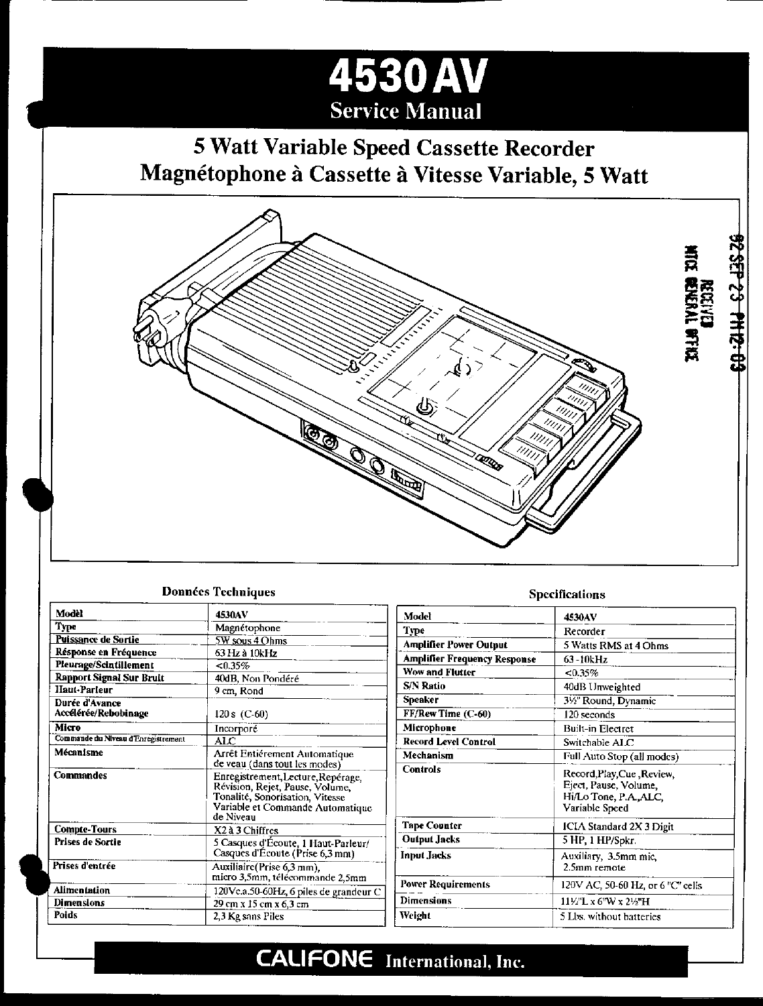# **4530AV Service Manual**

# 5 Watt Variable Speed Cassette Recorder Magnétophone à Cassette à Vitesse Variable, 5 Watt



#### **Données Techniques**

| Modèl                                  | 4530AV                                                                                                                                                    |  |  |  |
|----------------------------------------|-----------------------------------------------------------------------------------------------------------------------------------------------------------|--|--|--|
| Type                                   | Magnétophone                                                                                                                                              |  |  |  |
| Puissance de Sortie                    | <b>SW</b> sous 4 Ohms                                                                                                                                     |  |  |  |
| Résponse en Fréquence                  | 63 Hz à 10kHz                                                                                                                                             |  |  |  |
| Pleurage/Scintillement                 | $< 0.35\%$                                                                                                                                                |  |  |  |
| <b>Rapport Signal Sur Bruit</b>        | 40dB, Non Pondéré                                                                                                                                         |  |  |  |
| Haut-Parleur                           | 9 cm, Rond                                                                                                                                                |  |  |  |
| Durée d'Avance<br>Accélérée/Rebobinage | 120 s $(C.60)$                                                                                                                                            |  |  |  |
| Micro                                  | Incorpore                                                                                                                                                 |  |  |  |
| Commande du Niveau d'Enregistrement    | ALC                                                                                                                                                       |  |  |  |
| Mécanisme                              | Arrêt Entiérement Automatique<br>de veau (dans tout les modes)                                                                                            |  |  |  |
| <b>Commandes</b>                       | Enregistrement, Lecture, Repérage,<br>Révision, Rejet, Pause, Volume,<br>Tonalité, Sonorisation, Vitesse<br>Variable et Commande Automatique<br>de Niveau |  |  |  |
| <b>Compte-Tours</b>                    | X2 à 3 Chiffres                                                                                                                                           |  |  |  |
| Prises de Sortie                       | 5 Casques d'Écoute, 1 Haut-Parleur/<br>Casques d'Écoute (Prise 6,3 mm)                                                                                    |  |  |  |
| Prises d'entrée                        | Auxiliaire (Prise 6,3 mm),<br>micro 3,5mm, télécommande 2,5mm                                                                                             |  |  |  |
| Alimentation                           | 120Vc.a.50-60Hz, 6 piles de grandeur C                                                                                                                    |  |  |  |
| <b>Dimensions</b>                      | 29 cm x 15 cm x 6.3 cm                                                                                                                                    |  |  |  |
| Poids                                  | 2.3 Kg sans Piles                                                                                                                                         |  |  |  |

#### **Specifications**

| Model                               | <b>4530AV</b>                                                                                   |  |  |
|-------------------------------------|-------------------------------------------------------------------------------------------------|--|--|
| Type                                | Recorder                                                                                        |  |  |
| <b>Amplifier Power Output</b>       | 5 Watts RMS at 4 Ohms                                                                           |  |  |
| <b>Amplifier Frequency Response</b> | 63-10kHz                                                                                        |  |  |
| <b>Wow and Flutter</b>              | $< 0.35\%$                                                                                      |  |  |
| <b>S/N Ratio</b>                    | 40dB Unweighted                                                                                 |  |  |
| <b>Speaker</b>                      | 31/2" Round, Dynamic                                                                            |  |  |
| FF/Rew Time (C-60)                  | 120 seconds                                                                                     |  |  |
| Microphone                          | <b>Built-in Electret</b>                                                                        |  |  |
| <b>Record Level Control</b>         | Switchable ALC                                                                                  |  |  |
| Mechanism                           | Full Auto Stop (all modes)                                                                      |  |  |
| Controls                            | Record, Play, Cue, Review,<br>Eject, Pause, Volume,<br>Hi/Lo Tone, P.A., ALC,<br>Variable Speed |  |  |
| <b>Tape Counter</b>                 | ICIA Standard 2X 3 Digit                                                                        |  |  |
| <b>Output Jacks</b>                 | 5 HP, 1 HP/Spkr.                                                                                |  |  |
| Input Jacks                         | Auxiliary, 3.5mm mic,<br>2.5mm remote                                                           |  |  |
| <b>Power Requirements</b>           | 120V AC, 50-60 Hz, or 6 "C" cells                                                               |  |  |
| <b>Dimensions</b>                   | 11½"L x 6"W x 2½"H                                                                              |  |  |
| Weight                              | 5 Lbs. without batteries                                                                        |  |  |

# **CALIFONE** International, Inc.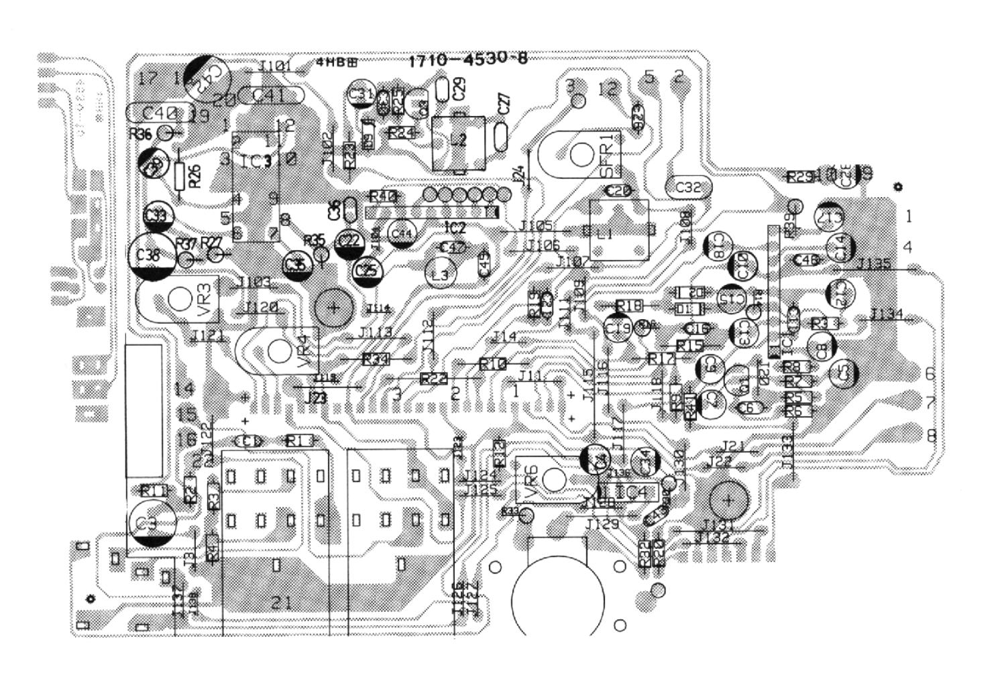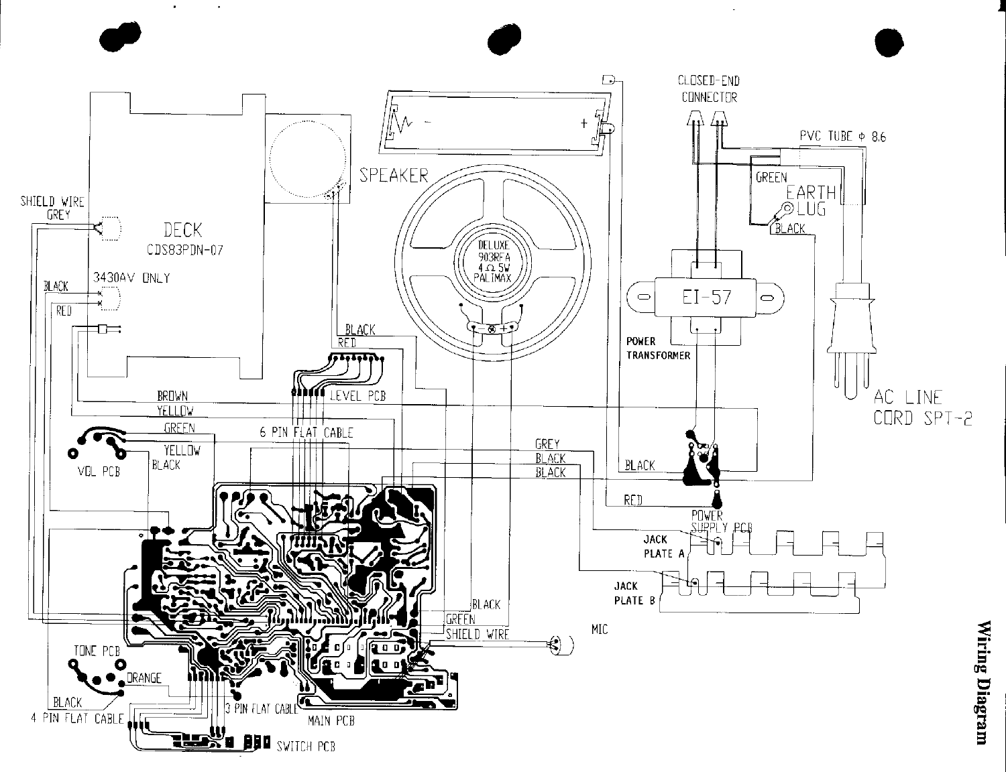

 $\bullet$  .

 $\sim 10^{11}$  km  $^{-1}$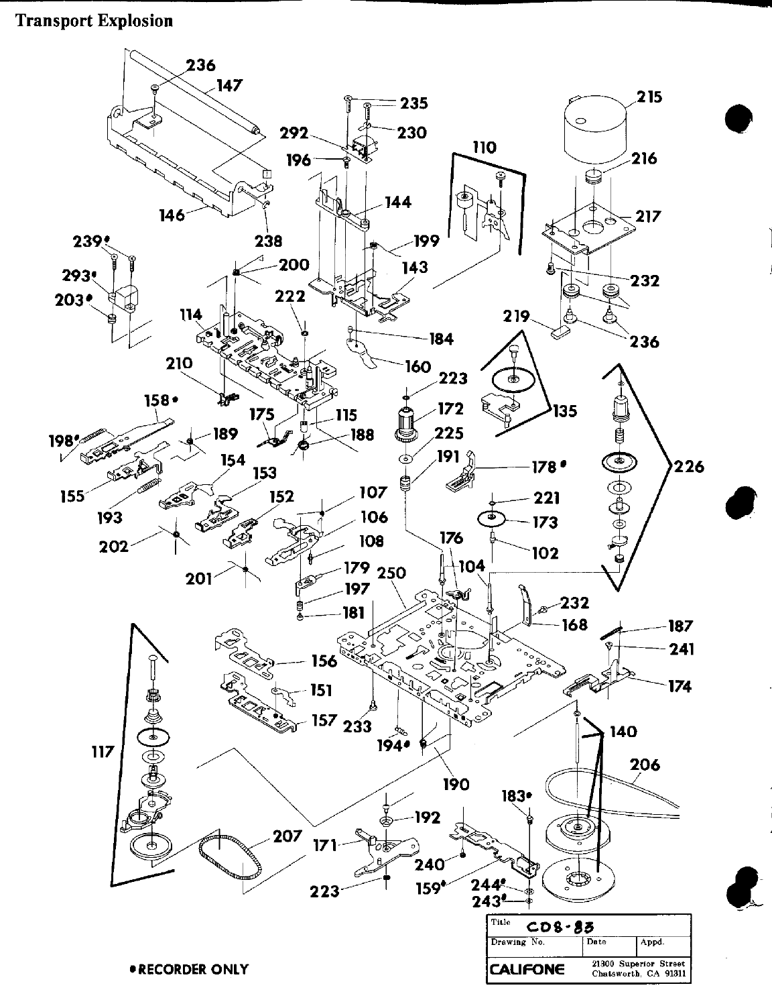## **Transport Explosion**

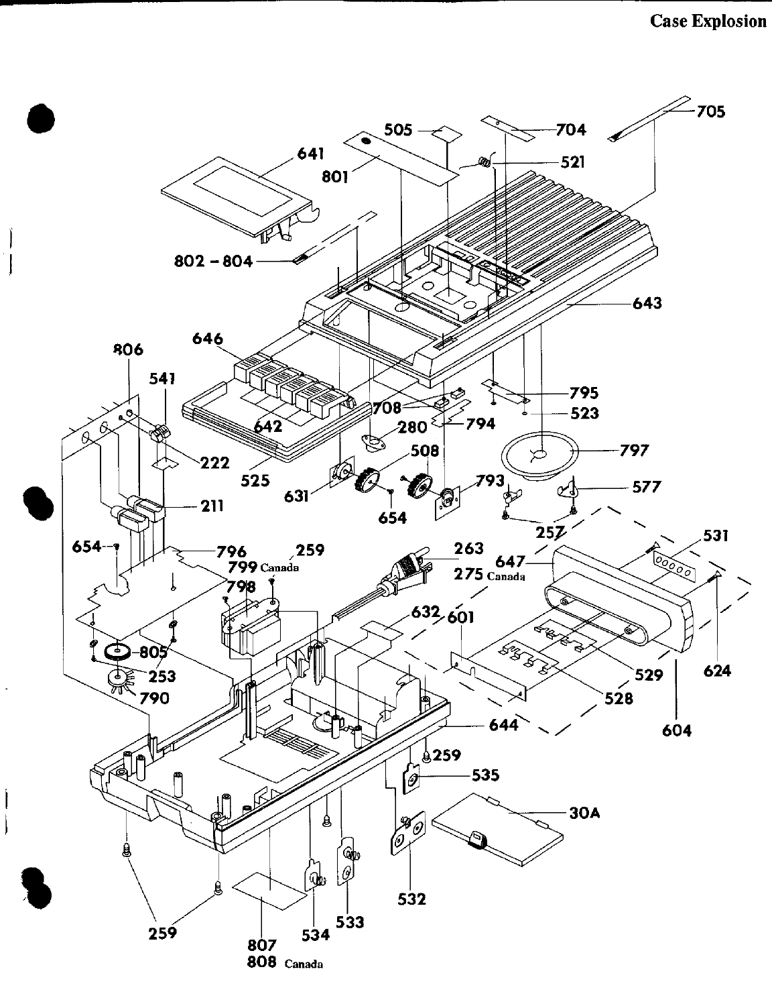## **Case Explosion**

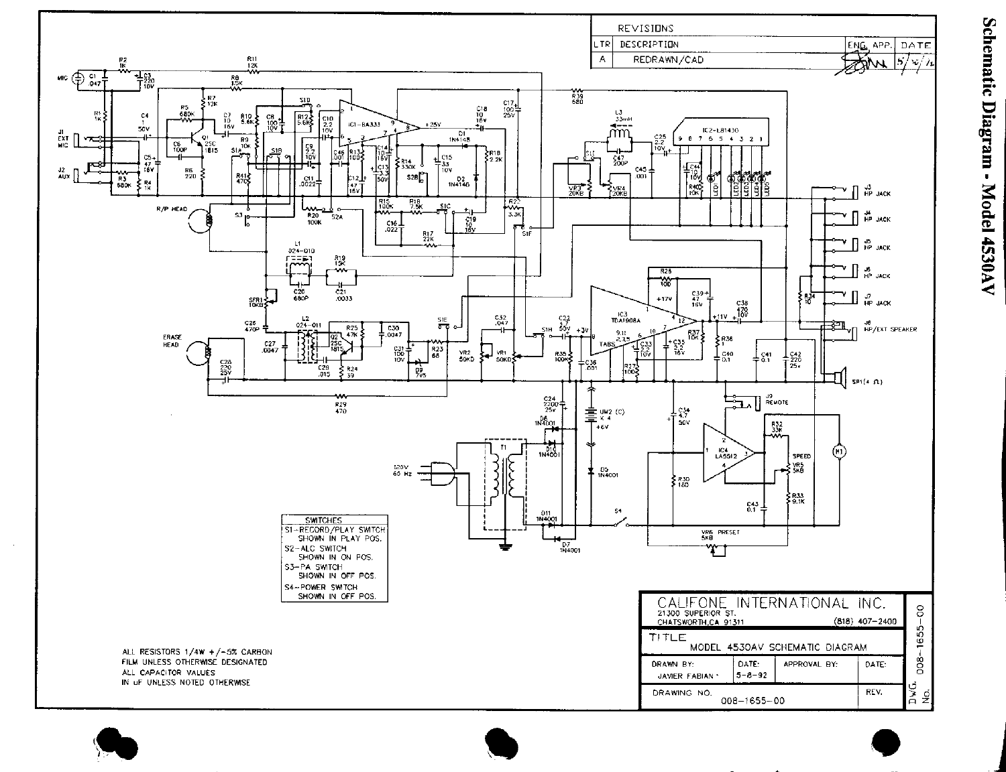

Schematic Diagram - Model 4530AV